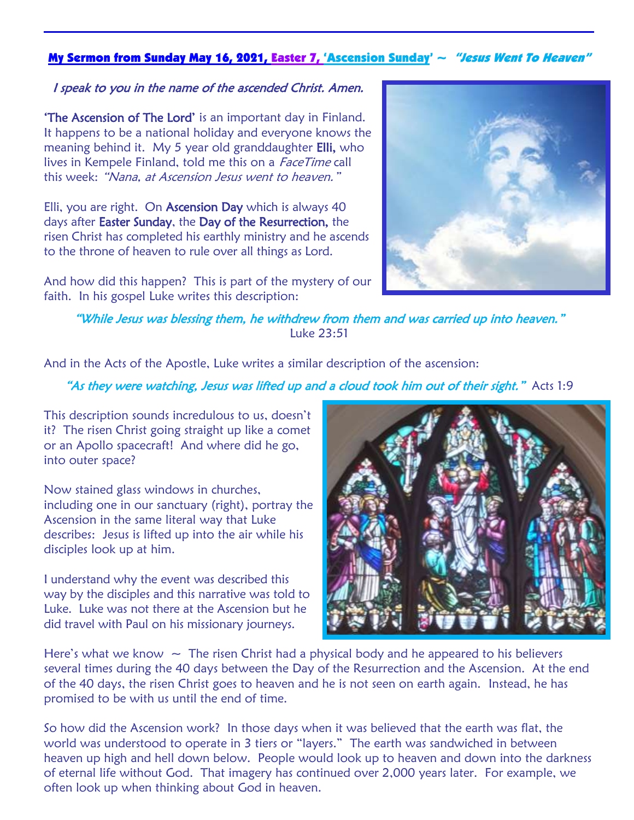## My Sermon from Sunday May 16, 2021, Easter 7, 'Ascension Sunday' ~ "Jesus Went To Heaven"

## I speak to you in the name of the ascended Christ. Amen.

**The Ascension of The Lord'** is an important day in Finland. It happens to be a national holiday and everyone knows the meaning behind it. My 5 year old granddaughter Elli, who lives in Kempele Finland, told me this on a *FaceTime* call this week: "Nana, at Ascension Jesus went to heaven."

Elli, you are right. On Ascension Day which is always 40 days after Easter Sunday, the Day of the Resurrection, the risen Christ has completed his earthly ministry and he ascends to the throne of heaven to rule over all things as Lord.

And how did this happen? This is part of the mystery of our faith. In his gospel Luke writes this description:

## "While Jesus was blessing them, he withdrew from them and was carried up into heaven." Luke 23:51

And in the Acts of the Apostle, Luke writes a similar description of the ascension:

## "As they were watching, Jesus was lifted up and a cloud took him out of their sight." Acts 1:9

This description sounds incredulous to us, doesn't it? The risen Christ going straight up like a comet or an Apollo spacecraft! And where did he go, into outer space?

Now stained glass windows in churches, including one in our sanctuary (right), portray the Ascension in the same literal way that Luke describes: Jesus is lifted up into the air while his disciples look up at him.

I understand why the event was described this way by the disciples and this narrative was told to Luke. Luke was not there at the Ascension but he did travel with Paul on his missionary journeys.



Here's what we know  $\sim$  The risen Christ had a physical body and he appeared to his believers several times during the 40 days between the Day of the Resurrection and the Ascension. At the end of the 40 days, the risen Christ goes to heaven and he is not seen on earth again. Instead, he has promised to be with us until the end of time.

So how did the Ascension work? In those days when it was believed that the earth was flat, the world was understood to operate in 3 tiers or "layers." The earth was sandwiched in between heaven up high and hell down below. People would look up to heaven and down into the darkness of eternal life without God. That imagery has continued over 2,000 years later. For example, we often look up when thinking about God in heaven.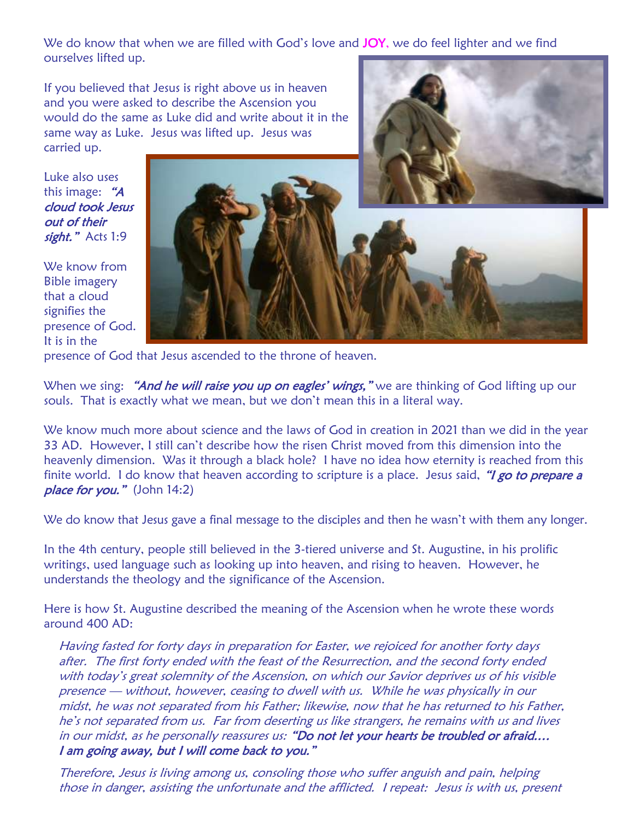We do know that when we are filled with God's love and JOY, we do feel lighter and we find ourselves lifted up.

If you believed that Jesus is right above us in heaven and you were asked to describe the Ascension you would do the same as Luke did and write about it in the same way as Luke. Jesus was lifted up. Jesus was carried up.

Luke also uses this image: "A cloud took Jesus out of their sight." Acts 1:9

We know from Bible imagery that a cloud signifies the presence of God. It is in the



presence of God that Jesus ascended to the throne of heaven.

When we sing: "And he will raise you up on eagles' wings," we are thinking of God lifting up our souls. That is exactly what we mean, but we don't mean this in a literal way.

We know much more about science and the laws of God in creation in 2021 than we did in the year 33 AD. However, I still can't describe how the risen Christ moved from this dimension into the heavenly dimension. Was it through a black hole? I have no idea how eternity is reached from this finite world. I do know that heaven according to scripture is a place. Jesus said, "I go to prepare a place for you." (John 14:2)

We do know that Jesus gave a final message to the disciples and then he wasn't with them any longer.

In the 4th century, people still believed in the 3-tiered universe and St. Augustine, in his prolific writings, used language such as looking up into heaven, and rising to heaven. However, he understands the theology and the significance of the Ascension.

Here is how St. Augustine described the meaning of the Ascension when he wrote these words around 400 AD:

Having fasted for forty days in preparation for Easter, we rejoiced for another forty days after. The first forty ended with the feast of the Resurrection, and the second forty ended with today's great solemnity of the Ascension, on which our Savior deprives us of his visible presence — without, however, ceasing to dwell with us. While he was physically in our midst, he was not separated from his Father; likewise, now that he has returned to his Father, he's not separated from us. Far from deserting us like strangers, he remains with us and lives in our midst, as he personally reassures us: "Do not let your hearts be troubled or afraid.... I am going away, but I will come back to you."

Therefore, Jesus is living among us, consoling those who suffer anguish and pain, helping those in danger, assisting the unfortunate and the afflicted. I repeat: Jesus is with us, present